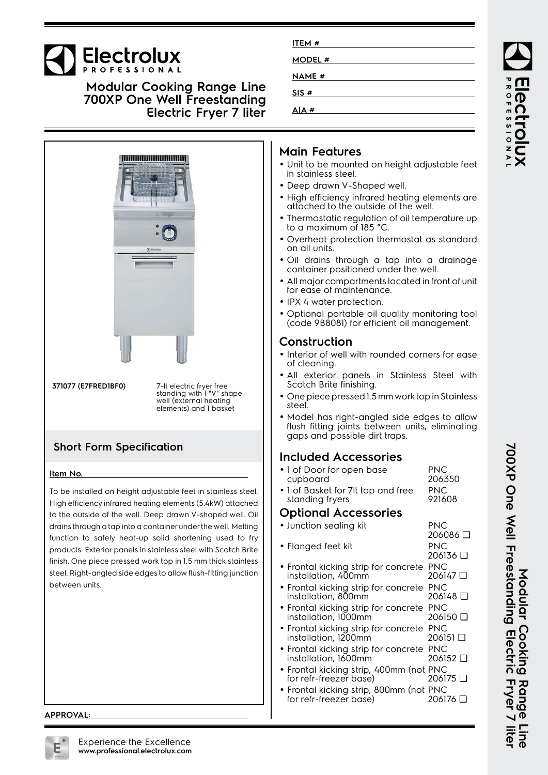# Electrolux

## **Modular Cooking Range Line 700XP One Well Freestanding Electric Fryer 7 liter**



to the outside of the well. Deep drawn V-shaped well. Oil drains through a tap into a container under the well. Melting function to safely heat-up solid shortening used to fry products. Exterior panels in stainless steel with Scotch Brite finish. One piece pressed work top in 1.5 mm thick stainless steel. Right-angled side edges to allow flush-fitting junction between units.

#### **APPROVAL:**

| ITEM #        |  |
|---------------|--|
| MODEL #       |  |
| <b>NAME</b> # |  |
| SIS#          |  |
| AIA#          |  |
|               |  |

#### **Main Features**

- Unit to be mounted on height adjustable feet in stainless steel.
- Deep drawn V-Shaped well.
- High efficiency infrared heating elements are attached to the outside of the well.
- • Thermostatic regulation of oil temperature up to a maximum of 185 °C.
- Overheat protection thermostat as standard on all units.
- Oil drains through a tap into a drainage container positioned under the well.
- • All major compartments located in front of unit for ease of maintenance.
- IPX 4 water protection.
- Optional portable oil quality monitoring tool (code 9B8081) for efficient oil management.

#### **Construction**

- Interior of well with rounded corners for ease of cleaning.
- All exterior panels in Stainless Steel with Scotch Brite finishing.
- One piece pressed 1.5 mm work top in Stainless steel.
- Model has right-angled side edges to allow flush fitting joints between units, eliminating gaps and possible dirt traps.

#### **Included Accessories**

- 1 of Door for open base cupboard PNC 206350
- 1 of Basket for 7lt top and free standing fryers PNC 921608

#### **Optional Accessories**

| · Junction sealing kit                                            | PNC<br>206086 □ |
|-------------------------------------------------------------------|-----------------|
| • Flanged feet kit                                                | PNC<br>206136 □ |
| • Frontal kicking strip for concrete PNC<br>installation, 400mm   | ם 147∂20        |
| • Frontal kicking strip for concrete PNC<br>installation, 800mm   | 206148 □        |
| • Frontal kicking strip for concrete PNC<br>installation, 1000mm  | 206150 □        |
| • Frontal kicking strip for concrete PNC<br>installation, 1200mm  | 206151 □        |
| • Frontal kicking strip for concrete PNC<br>installation, 1600mm  | 206152 □        |
| · Frontal kicking strip, 400mm (not PNC<br>for refr-freezer base) | 206175 □        |
| • Frontal kicking strip, 800mm (not PNC<br>for refr-freezer base) | 206176 ❑        |
|                                                                   |                 |

ROFESSIONA

#### Experience the Excellence **www.professional.electrolux.com**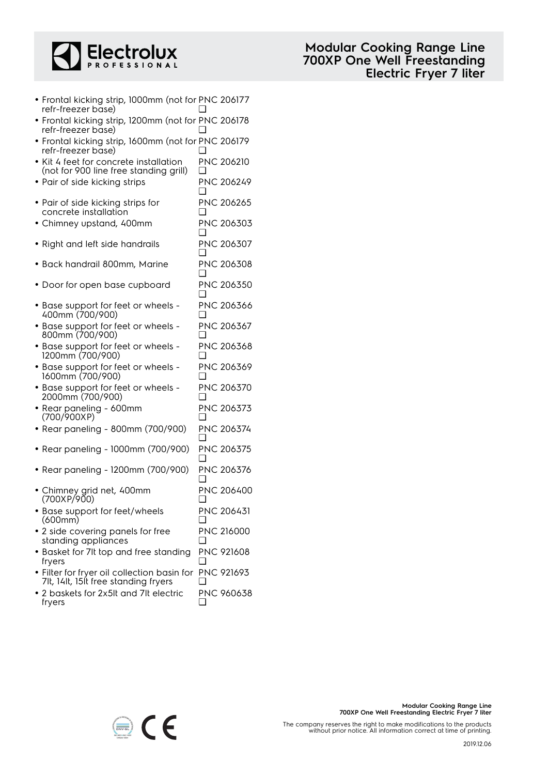

• Frontal kicking strip, 1000mm (not for PNC 206177 refr-freezer base)  $\Box$ 

| • Frontal kicking strip, 1200mm (not for PNC 206178 refr-freezer base)           |                   |
|----------------------------------------------------------------------------------|-------------------|
|                                                                                  |                   |
| • Frontal kicking strip, 1600mm (not for PNC 206179 refr-freezer base)           |                   |
| • Kit 4 feet for concrete installation<br>(not for 900 line free standing grill) | <b>PNC 206210</b> |
| • Pair of side kicking strips                                                    | <b>PNC 206249</b> |

- Pair of side kicking strips for concrete installation PNC 206265 ❑ • Chimney upstand, 400mm PNC 206303
- $\Box$ • Right and left side handrails PNC 206307 ❑
- Back handrail 800mm, Marine PNC 206308  $\Box$
- Door for open base cupboard PNC 206350 ❑
- Base support for feet or wheels 400mm (700/900) PNC 206366  $\Box$
- Base support for feet or wheels 800mm (700/900) PNC 206367 ❑
- Base support for feet or wheels 1200mm (700/900) PNC 206368 ❑
- Base support for feet or wheels 1600mm (700/900) PNC 206369 ❑ PNC 206370
- Base support for feet or wheels 2000mm (700/900) ❑ PNC 206373
- Rear paneling 600mm (700/900XP)  $\Box$ • Rear paneling - 800mm (700/900) PNC 206374  $\Box$
- Rear paneling 1000mm (700/900) PNC 206375  $\Box$
- Rear paneling 1200mm (700/900) PNC 206376 ❑ • Chimney grid net, 400mm (700XP/900) PNC 206400  $\Box$
- Base support for feet/wheels (600mm) PNC 206431  $\Box$
- 2 side covering panels for free standing appliances PNC 216000  $\Box$ PNC 921608
- Basket for 7lt top and free standing fryers ❑ • Filter for fryer oil collection basin for PNC 921693
- 7lt, 14lt, 15lt free standing fryers ❑ • 2 baskets for 2x5lt and 7lt electric fryers PNC 960638  $\Box$



The company reserves the right to make modifications to the products without prior notice. All information correct at time of printing.